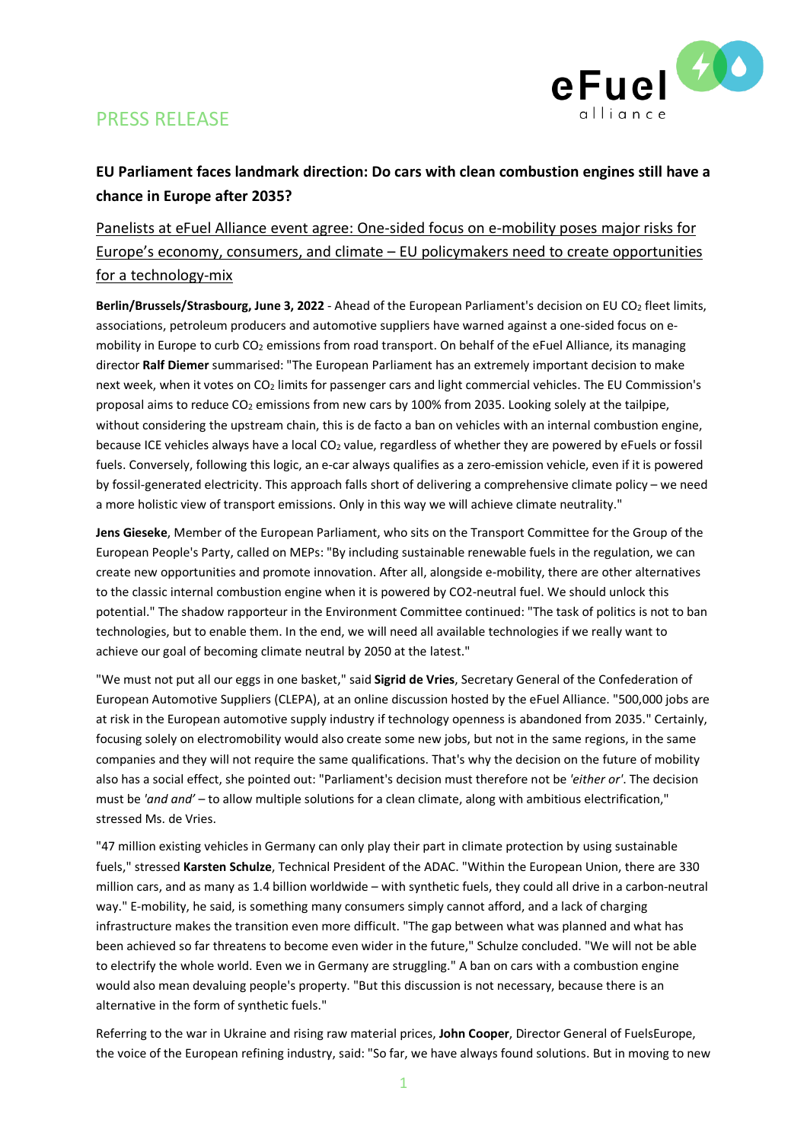# PRESS RELEASE



### **EU Parliament faces landmark direction: Do cars with clean combustion engines still have a chance in Europe after 2035?**

### Panelists at eFuel Alliance event agree: One-sided focus on e-mobility poses major risks for Europe's economy, consumers, and climate – EU policymakers need to create opportunities for a technology-mix

**Berlin/Brussels/Strasbourg, June 3, 2022** - Ahead of the European Parliament's decision on EU CO<sup>2</sup> fleet limits, associations, petroleum producers and automotive suppliers have warned against a one-sided focus on emobility in Europe to curb CO<sub>2</sub> emissions from road transport. On behalf of the eFuel Alliance, its managing director **Ralf Diemer** summarised: "The European Parliament has an extremely important decision to make next week, when it votes on CO<sub>2</sub> limits for passenger cars and light commercial vehicles. The EU Commission's proposal aims to reduce CO<sub>2</sub> emissions from new cars by 100% from 2035. Looking solely at the tailpipe, without considering the upstream chain, this is de facto a ban on vehicles with an internal combustion engine, because ICE vehicles always have a local CO<sup>2</sup> value, regardless of whether they are powered by eFuels or fossil fuels. Conversely, following this logic, an e-car always qualifies as a zero-emission vehicle, even if it is powered by fossil-generated electricity. This approach falls short of delivering a comprehensive climate policy – we need a more holistic view of transport emissions. Only in this way we will achieve climate neutrality."

**Jens Gieseke**, Member of the European Parliament, who sits on the Transport Committee for the Group of the European People's Party, called on MEPs: "By including sustainable renewable fuels in the regulation, we can create new opportunities and promote innovation. After all, alongside e-mobility, there are other alternatives to the classic internal combustion engine when it is powered by CO2-neutral fuel. We should unlock this potential." The shadow rapporteur in the Environment Committee continued: "The task of politics is not to ban technologies, but to enable them. In the end, we will need all available technologies if we really want to achieve our goal of becoming climate neutral by 2050 at the latest."

"We must not put all our eggs in one basket," said **Sigrid de Vries**, Secretary General of the Confederation of European Automotive Suppliers (CLEPA), at an online discussion hosted by the eFuel Alliance. "500,000 jobs are at risk in the European automotive supply industry if technology openness is abandoned from 2035." Certainly, focusing solely on electromobility would also create some new jobs, but not in the same regions, in the same companies and they will not require the same qualifications. That's why the decision on the future of mobility also has a social effect, she pointed out: "Parliament's decision must therefore not be *'either or'*. The decision must be *'and and'* – to allow multiple solutions for a clean climate, along with ambitious electrification," stressed Ms. de Vries.

"47 million existing vehicles in Germany can only play their part in climate protection by using sustainable fuels," stressed **Karsten Schulze**, Technical President of the ADAC. "Within the European Union, there are 330 million cars, and as many as 1.4 billion worldwide – with synthetic fuels, they could all drive in a carbon-neutral way." E-mobility, he said, is something many consumers simply cannot afford, and a lack of charging infrastructure makes the transition even more difficult. "The gap between what was planned and what has been achieved so far threatens to become even wider in the future," Schulze concluded. "We will not be able to electrify the whole world. Even we in Germany are struggling." A ban on cars with a combustion engine would also mean devaluing people's property. "But this discussion is not necessary, because there is an alternative in the form of synthetic fuels."

Referring to the war in Ukraine and rising raw material prices, **John Cooper**, Director General of FuelsEurope, the voice of the European refining industry, said: "So far, we have always found solutions. But in moving to new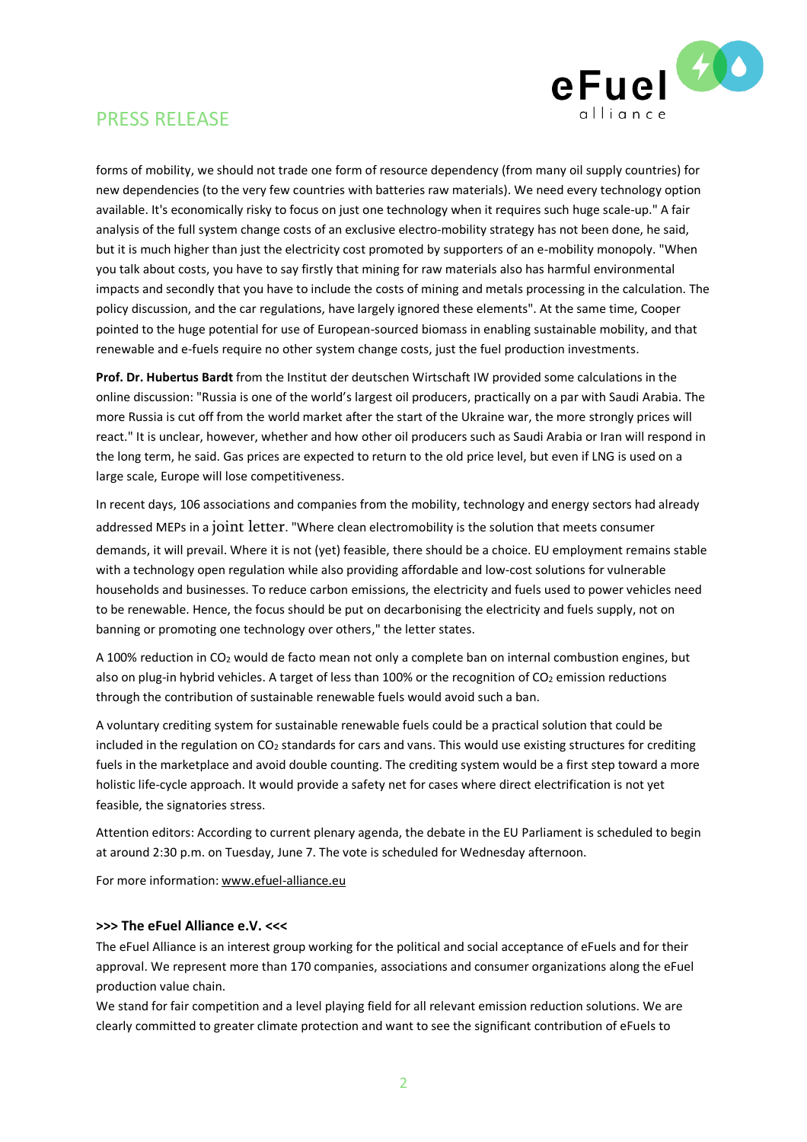

## PRESS RELEASE

forms of mobility, we should not trade one form of resource dependency (from many oil supply countries) for new dependencies (to the very few countries with batteries raw materials). We need every technology option available. It's economically risky to focus on just one technology when it requires such huge scale-up." A fair analysis of the full system change costs of an exclusive electro-mobility strategy has not been done, he said, but it is much higher than just the electricity cost promoted by supporters of an e-mobility monopoly. "When you talk about costs, you have to say firstly that mining for raw materials also has harmful environmental impacts and secondly that you have to include the costs of mining and metals processing in the calculation. The policy discussion, and the car regulations, have largely ignored these elements". At the same time, Cooper pointed to the huge potential for use of European-sourced biomass in enabling sustainable mobility, and that renewable and e-fuels require no other system change costs, just the fuel production investments.

**Prof. Dr. Hubertus Bardt** from the Institut der deutschen Wirtschaft IW provided some calculations in the online discussion: "Russia is one of the world's largest oil producers, practically on a par with Saudi Arabia. The more Russia is cut off from the world market after the start of the Ukraine war, the more strongly prices will react." It is unclear, however, whether and how other oil producers such as Saudi Arabia or Iran will respond in the long term, he said. Gas prices are expected to return to the old price level, but even if LNG is used on a large scale, Europe will lose competitiveness.

In recent days, 106 associations and companies from the mobility, technology and energy sectors had already addressed MEPs in a joint [letter](https://clepa.eu/wp-content/uploads/2022/05/Joint-letter-CO2-emission-standards_final-version.pdf). "Where clean electromobility is the solution that meets consumer demands, it will prevail. Where it is not (yet) feasible, there should be a choice. EU employment remains stable with a technology open regulation while also providing affordable and low-cost solutions for vulnerable households and businesses. To reduce carbon emissions, the electricity and fuels used to power vehicles need to be renewable. Hence, the focus should be put on decarbonising the electricity and fuels supply, not on banning or promoting one technology over others," the letter states.

A 100% reduction in CO<sup>2</sup> would de facto mean not only a complete ban on internal combustion engines, but also on plug-in hybrid vehicles. A target of less than 100% or the recognition of  $CO<sub>2</sub>$  emission reductions through the contribution of sustainable renewable fuels would avoid such a ban.

A voluntary crediting system for sustainable renewable fuels could be a practical solution that could be included in the regulation on CO<sup>2</sup> standards for cars and vans. This would use existing structures for crediting fuels in the marketplace and avoid double counting. The crediting system would be a first step toward a more holistic life-cycle approach. It would provide a safety net for cases where direct electrification is not yet feasible, the signatories stress.

Attention editors: According to current plenary agenda, the debate in the EU Parliament is scheduled to begin at around 2:30 p.m. on Tuesday, June 7. The vote is scheduled for Wednesday afternoon.

For more information: [www.efuel-alliance.eu](http://www.efuel-alliance.eu/)

#### **>>> The eFuel Alliance e.V. <<<**

The eFuel Alliance is an interest group working for the political and social acceptance of eFuels and for their approval. We represent more than 170 companies, associations and consumer organizations along the eFuel production value chain.

We stand for fair competition and a level playing field for all relevant emission reduction solutions. We are clearly committed to greater climate protection and want to see the significant contribution of eFuels to